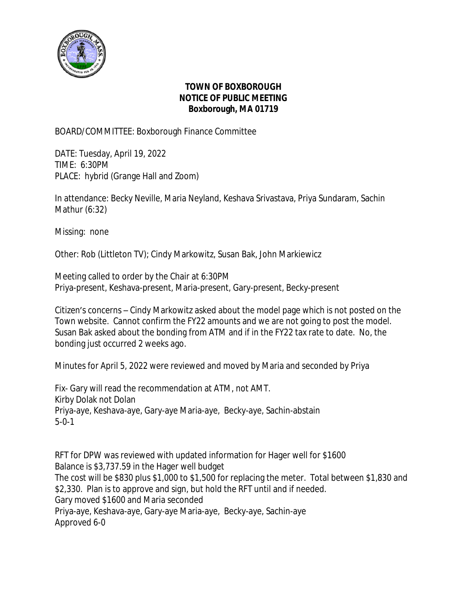

## **TOWN OF BOXBOROUGH NOTICE OF PUBLIC MEETING Boxborough, MA 01719**

BOARD/COMMITTEE: Boxborough Finance Committee

DATE: Tuesday, April 19, 2022 TIME: 6:30PM PLACE: hybrid (Grange Hall and Zoom)

In attendance: Becky Neville, Maria Neyland, Keshava Srivastava, Priya Sundaram, Sachin Mathur (6:32)

Missing: none

Other: Rob (Littleton TV); Cindy Markowitz, Susan Bak, John Markiewicz

Meeting called to order by the Chair at 6:30PM Priya-present, Keshava-present, Maria-present, Gary-present, Becky-present

Citizen's concerns – Cindy Markowitz asked about the model page which is not posted on the Town website. Cannot confirm the FY22 amounts and we are not going to post the model. Susan Bak asked about the bonding from ATM and if in the FY22 tax rate to date. No, the bonding just occurred 2 weeks ago.

Minutes for April 5, 2022 were reviewed and moved by Maria and seconded by Priya

Fix- Gary will read the recommendation at ATM, not AMT. Kirby Dolak not Dolan Priya-aye, Keshava-aye, Gary-aye Maria-aye, Becky-aye, Sachin-abstain 5-0-1

RFT for DPW was reviewed with updated information for Hager well for \$1600 Balance is \$3,737.59 in the Hager well budget The cost will be \$830 plus \$1,000 to \$1,500 for replacing the meter. Total between \$1,830 and \$2,330. Plan is to approve and sign, but hold the RFT until and if needed. Gary moved \$1600 and Maria seconded Priya-aye, Keshava-aye, Gary-aye Maria-aye, Becky-aye, Sachin-aye Approved 6-0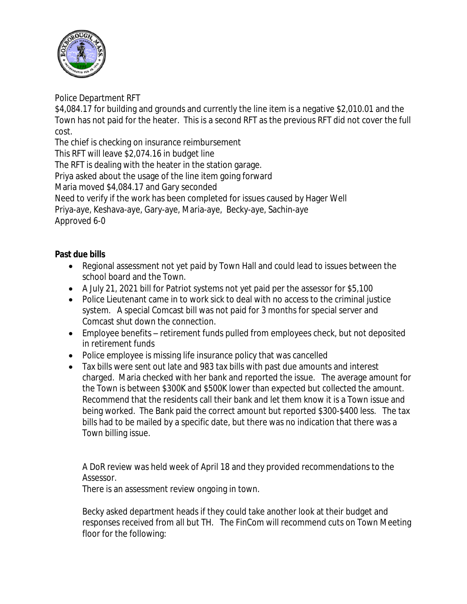

Police Department RFT

\$4,084.17 for building and grounds and currently the line item is a negative \$2,010.01 and the Town has not paid for the heater. This is a second RFT as the previous RFT did not cover the full cost.

The chief is checking on insurance reimbursement

This RFT will leave \$2,074.16 in budget line

The RFT is dealing with the heater in the station garage.

Priya asked about the usage of the line item going forward

Maria moved \$4,084.17 and Gary seconded

Need to verify if the work has been completed for issues caused by Hager Well

Priya-aye, Keshava-aye, Gary-aye, Maria-aye, Becky-aye, Sachin-aye

Approved 6-0

## **Past due bills**

- Regional assessment not yet paid by Town Hall and could lead to issues between the school board and the Town.
- A July 21, 2021 bill for Patriot systems not yet paid per the assessor for \$5,100
- Police Lieutenant came in to work sick to deal with no access to the criminal justice system. A special Comcast bill was not paid for 3 months for special server and Comcast shut down the connection.
- Employee benefits retirement funds pulled from employees check, but not deposited in retirement funds
- Police employee is missing life insurance policy that was cancelled
- Tax bills were sent out late and 983 tax bills with past due amounts and interest charged. Maria checked with her bank and reported the issue. The average amount for the Town is between \$300K and \$500K lower than expected but collected the amount. Recommend that the residents call their bank and let them know it is a Town issue and being worked. The Bank paid the correct amount but reported \$300-\$400 less. The tax bills had to be mailed by a specific date, but there was no indication that there was a Town billing issue.

A DoR review was held week of April 18 and they provided recommendations to the Assessor.

There is an assessment review ongoing in town.

Becky asked department heads if they could take another look at their budget and responses received from all but TH. The FinCom will recommend cuts on Town Meeting floor for the following: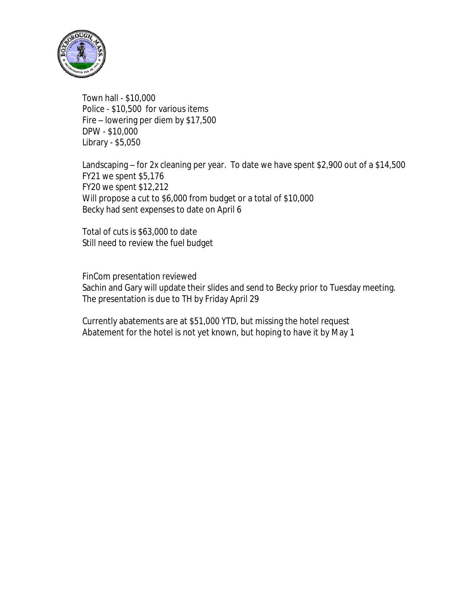

Town hall - \$10,000 Police - \$10,500 for various items Fire – lowering per diem by \$17,500 DPW - \$10,000 Library - \$5,050

Landscaping – for 2x cleaning per year. To date we have spent \$2,900 out of a \$14,500 FY21 we spent \$5,176 FY20 we spent \$12,212 Will propose a cut to \$6,000 from budget or a total of \$10,000 Becky had sent expenses to date on April 6

Total of cuts is \$63,000 to date Still need to review the fuel budget

FinCom presentation reviewed Sachin and Gary will update their slides and send to Becky prior to Tuesday meeting. The presentation is due to TH by Friday April 29

Currently abatements are at \$51,000 YTD, but missing the hotel request Abatement for the hotel is not yet known, but hoping to have it by May 1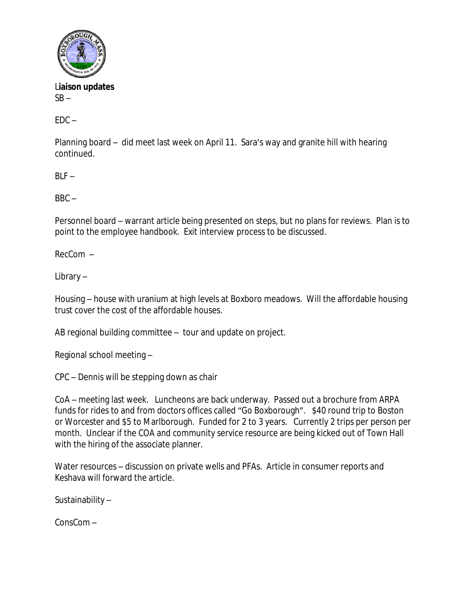

L**iaison updates**  $SB -$ 

 $FDC -$ 

Planning board – did meet last week on April 11. Sara's way and granite hill with hearing continued.

 $BIF -$ 

 $BBC -$ 

Personnel board – warrant article being presented on steps, but no plans for reviews. Plan is to point to the employee handbook. Exit interview process to be discussed.

RecCom –

Library –

Housing – house with uranium at high levels at Boxboro meadows. Will the affordable housing trust cover the cost of the affordable houses.

AB regional building committee – tour and update on project.

Regional school meeting –

CPC – Dennis will be stepping down as chair

CoA – meeting last week. Luncheons are back underway. Passed out a brochure from ARPA funds for rides to and from doctors offices called "Go Boxborough". \$40 round trip to Boston or Worcester and \$5 to Marlborough. Funded for 2 to 3 years. Currently 2 trips per person per month. Unclear if the COA and community service resource are being kicked out of Town Hall with the hiring of the associate planner.

Water resources – discussion on private wells and PFAs. Article in consumer reports and Keshava will forward the article.

Sustainability –

ConsCom –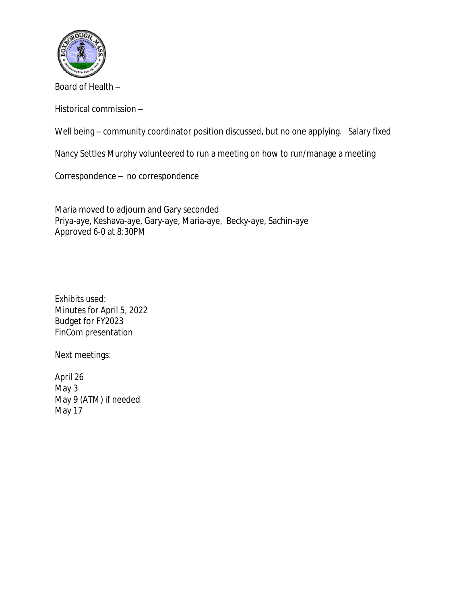

Board of Health –

Historical commission –

Well being – community coordinator position discussed, but no one applying. Salary fixed

Nancy Settles Murphy volunteered to run a meeting on how to run/manage a meeting

Correspondence – no correspondence

Maria moved to adjourn and Gary seconded Priya-aye, Keshava-aye, Gary-aye, Maria-aye, Becky-aye, Sachin-aye Approved 6-0 at 8:30PM

Exhibits used: Minutes for April 5, 2022 Budget for FY2023 FinCom presentation

Next meetings:

April 26 May 3 May 9 (ATM) if needed May 17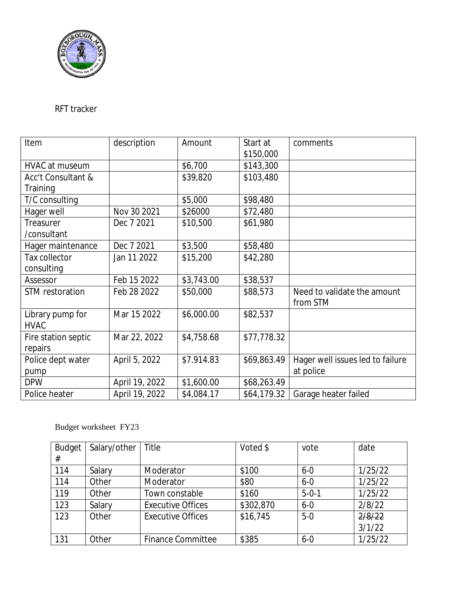

## RFT tracker

| Item                | description    | Amount     | Start at    | comments                         |
|---------------------|----------------|------------|-------------|----------------------------------|
|                     |                |            | \$150,000   |                                  |
| HVAC at museum      |                | \$6,700    | \$143,300   |                                  |
| Acc't Consultant &  |                | \$39,820   | \$103,480   |                                  |
| Training            |                |            |             |                                  |
| T/C consulting      |                | \$5,000    | \$98,480    |                                  |
| Hager well          | Nov 30 2021    | \$26000    | \$72,480    |                                  |
| Treasurer           | Dec 7 2021     | \$10,500   | \$61,980    |                                  |
| /consultant         |                |            |             |                                  |
| Hager maintenance   | Dec 7 2021     | \$3,500    | \$58,480    |                                  |
| Tax collector       | Jan 11 2022    | \$15,200   | \$42,280    |                                  |
| consulting          |                |            |             |                                  |
| Assessor            | Feb 15 2022    | \$3,743.00 | \$38,537    |                                  |
| STM restoration     | Feb 28 2022    | \$50,000   | \$88,573    | Need to validate the amount      |
|                     |                |            |             | from STM                         |
| Library pump for    | Mar 15 2022    | \$6,000.00 | \$82,537    |                                  |
| <b>HVAC</b>         |                |            |             |                                  |
| Fire station septic | Mar 22, 2022   | \$4,758.68 | \$77,778.32 |                                  |
| repairs             |                |            |             |                                  |
| Police dept water   | April 5, 2022  | \$7.914.83 | \$69,863.49 | Hager well issues led to failure |
| pump                |                |            |             | at police                        |
| <b>DPW</b>          | April 19, 2022 | \$1,600.00 | \$68,263.49 |                                  |
| Police heater       | April 19, 2022 | \$4,084.17 | \$64,179.32 | Garage heater failed             |

## Budget worksheet FY23

| <b>Budget</b> | Salary/other | Title                    | Voted \$  | vote        | date    |
|---------------|--------------|--------------------------|-----------|-------------|---------|
| #             |              |                          |           |             |         |
| 114           | Salary       | Moderator                | \$100     | $6 - 0$     | 1/25/22 |
| 114           | Other        | Moderator                | \$80      | $6 - 0$     | 1/25/22 |
| 119           | Other        | Town constable           | \$160     | $5 - 0 - 1$ | 1/25/22 |
| 123           | Salary       | <b>Executive Offices</b> | \$302,870 | $6 - 0$     | 2/8/22  |
| 123           | Other        | <b>Executive Offices</b> | \$16,745  | $5-0$       | 2/8/22  |
|               |              |                          |           |             | 3/1/22  |
| 131           | Other        | <b>Finance Committee</b> | \$385     | $6 - 0$     | 1/25/22 |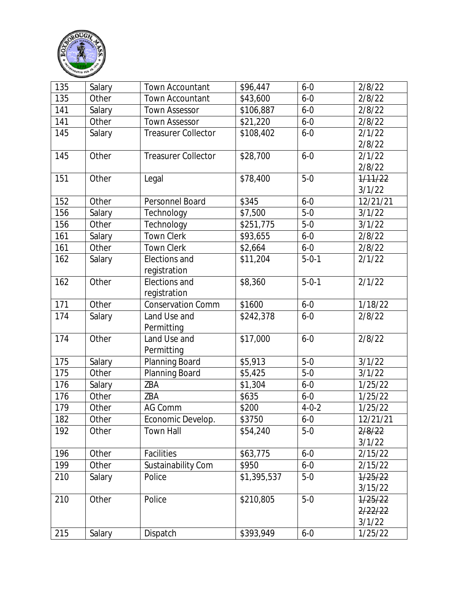

| 135 | Salary | <b>Town Accountant</b>     | \$96,447    | $6 - 0$     | 2/8/22   |
|-----|--------|----------------------------|-------------|-------------|----------|
| 135 | Other  | <b>Town Accountant</b>     | \$43,600    | $6 - 0$     | 2/8/22   |
| 141 | Salary | <b>Town Assessor</b>       | \$106,887   | $6 - 0$     | 2/8/22   |
| 141 | Other  | <b>Town Assessor</b>       | \$21,220    | $6 - 0$     | 2/8/22   |
| 145 | Salary | <b>Treasurer Collector</b> | \$108,402   | $6 - 0$     | 2/1/22   |
|     |        |                            |             |             | 2/8/22   |
| 145 | Other  | <b>Treasurer Collector</b> | \$28,700    | $6 - 0$     | 2/1/22   |
|     |        |                            |             |             | 2/8/22   |
| 151 | Other  | Legal                      | \$78,400    | $5-0$       | 1/11/22  |
|     |        |                            |             |             | 3/1/22   |
| 152 | Other  | Personnel Board            | \$345       | $6 - 0$     | 12/21/21 |
| 156 | Salary | Technology                 | \$7,500     | $5-0$       | 3/1/22   |
| 156 | Other  | Technology                 | \$251,775   | $5-0$       | 3/1/22   |
| 161 | Salary | <b>Town Clerk</b>          | \$93,655    | $6 - 0$     | 2/8/22   |
| 161 | Other  | <b>Town Clerk</b>          | \$2,664     | $6 - 0$     | 2/8/22   |
| 162 | Salary | Elections and              | \$11,204    | $5 - 0 - 1$ | 2/1/22   |
|     |        | registration               |             |             |          |
| 162 | Other  | Elections and              | \$8,360     | $5 - 0 - 1$ | 2/1/22   |
|     |        | registration               |             |             |          |
| 171 | Other  | <b>Conservation Comm</b>   | \$1600      | $6 - 0$     | 1/18/22  |
| 174 | Salary | Land Use and               | \$242,378   | $6 - 0$     | 2/8/22   |
|     |        | Permitting                 |             |             |          |
| 174 | Other  | Land Use and               | \$17,000    | $6 - 0$     | 2/8/22   |
|     |        | Permitting                 |             |             |          |
| 175 | Salary | Planning Board             | \$5,913     | $5-0$       | 3/1/22   |
| 175 | Other  | Planning Board             | \$5,425     | $5-0$       | 3/1/22   |
| 176 | Salary | ZBA                        | \$1,304     | $6 - 0$     | 1/25/22  |
| 176 | Other  | ZBA                        | \$635       | $6 - 0$     | 1/25/22  |
| 179 | Other  | <b>AG Comm</b>             | \$200       | $4 - 0 - 2$ | 1/25/22  |
| 182 | Other  | Economic Develop.          | \$3750      | $6 - 0$     | 12/21/21 |
| 192 | Other  | <b>Town Hall</b>           | \$54,240    | $5 - 0$     | 2/8/22   |
|     |        |                            |             |             | 3/1/22   |
| 196 | Other  | Facilities                 | \$63,775    | $6 - 0$     | 2/15/22  |
| 199 | Other  | Sustainability Com         | \$950       | $6 - 0$     | 2/15/22  |
| 210 | Salary | Police                     | \$1,395,537 | $5 - 0$     | 1/25/22  |
|     |        |                            |             |             | 3/15/22  |
| 210 | Other  | Police                     | \$210,805   | $5-0$       | 1/25/22  |
|     |        |                            |             |             | 2/22/22  |
|     |        |                            |             |             | 3/1/22   |
| 215 | Salary | Dispatch                   | \$393,949   | $6 - 0$     | 1/25/22  |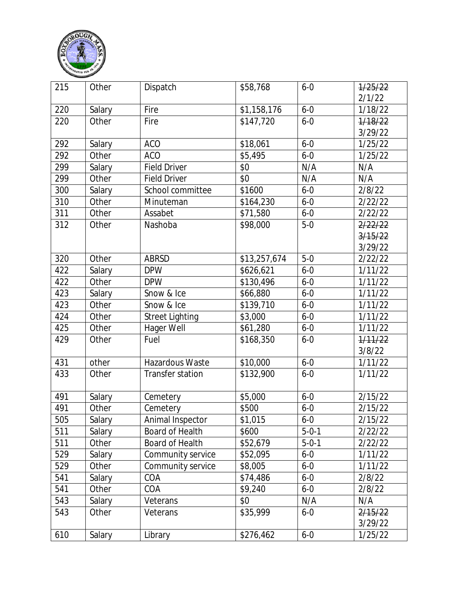

| 215 | Other         | Dispatch                | \$58,768                 | $6 - 0$     | 1/25/22 |
|-----|---------------|-------------------------|--------------------------|-------------|---------|
|     |               |                         |                          |             | 2/1/22  |
| 220 | Salary        | Fire                    | \$1,158,176              | $6 - 0$     | 1/18/22 |
| 220 | Other         | Fire                    | \$147,720                | $6 - 0$     | 1/18/22 |
|     |               |                         |                          |             | 3/29/22 |
| 292 | Salary        | <b>ACO</b>              | \$18,061                 | $6 - 0$     | 1/25/22 |
| 292 | Other         | <b>ACO</b>              | \$5,495                  | $6 - 0$     | 1/25/22 |
| 299 | Salary        | <b>Field Driver</b>     | \$0                      | N/A         | N/A     |
| 299 | Other         | <b>Field Driver</b>     | \$0                      | N/A         | N/A     |
| 300 | Salary        | School committee        | \$1600                   | $6 - 0$     | 2/8/22  |
| 310 | Other         | Minuteman               | \$164,230                | $6 - 0$     | 2/22/22 |
| 311 | Other         | Assabet                 | \$71,580                 | $6 - 0$     | 2/22/22 |
| 312 | Other         | Nashoba                 | \$98,000                 | $5-0$       | 2/22/22 |
|     |               |                         |                          |             | 3/15/22 |
|     |               |                         |                          |             | 3/29/22 |
| 320 | Other         | <b>ABRSD</b>            | $\overline{$}13,257,674$ | $5-0$       | 2/22/22 |
| 422 | Salary        | <b>DPW</b>              | \$626,621                | $6 - 0$     | 1/11/22 |
| 422 | Other         | <b>DPW</b>              | \$130,496                | $6 - 0$     | 1/11/22 |
| 423 | Salary        | Snow & Ice              | \$66,880                 | $6 - 0$     | 1/11/22 |
| 423 | Other         | Snow & Ice              | \$139,710                | $6 - 0$     | 1/11/22 |
| 424 | Other         | <b>Street Lighting</b>  | \$3,000                  | $6 - 0$     | 1/11/22 |
| 425 | Other         | Hager Well              | \$61,280                 | $6 - 0$     | 1/11/22 |
| 429 | Other         | Fuel                    | \$168,350                | $6 - 0$     | 1/11/22 |
|     |               |                         |                          |             | 3/8/22  |
| 431 | other         | Hazardous Waste         | \$10,000                 | $6 - 0$     | 1/11/22 |
| 433 | Other         | <b>Transfer station</b> | \$132,900                | $6 - 0$     | 1/11/22 |
| 491 | Salary        | Cemetery                | \$5,000                  | $6 - 0$     | 2/15/22 |
| 491 | Other         | Cemetery                | \$500                    | $6 - 0$     | 2/15/22 |
| 505 | <b>Salary</b> | Animal Inspector        | \$1,015                  | $6 - 0$     | 2/15/22 |
| 511 | Salary        | Board of Health         | \$600                    | $5 - 0 - 1$ | 2/22/22 |
| 511 | Other         | Board of Health         | \$52,679                 | $5 - 0 - 1$ | 2/22/22 |
| 529 | Salary        | Community service       | \$52,095                 | $6 - 0$     | 1/11/22 |
| 529 | Other         | Community service       | \$8,005                  | $6 - 0$     | 1/11/22 |
| 541 | Salary        | COA                     | \$74,486                 | $6-0$       | 2/8/22  |
| 541 | Other         | COA                     | \$9,240                  | $6 - 0$     | 2/8/22  |
| 543 | Salary        | Veterans                | \$0                      | N/A         | N/A     |
| 543 | Other         | Veterans                | \$35,999                 | $6 - 0$     | 2/15/22 |
|     |               |                         |                          |             | 3/29/22 |
| 610 | Salary        | Library                 | \$276,462                | $6 - 0$     | 1/25/22 |